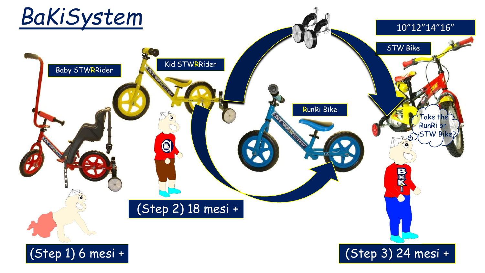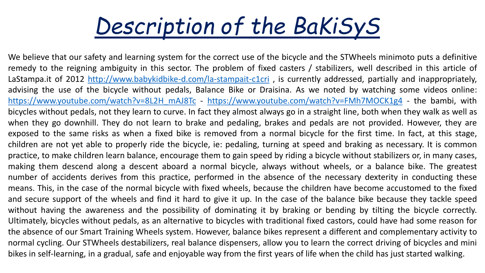

We believe that our safety and learning system for the correct use of the bicycle and the STWheels minimoto puts a definitive remedy to the reigning ambiguity in this sector. The problem of fixed casters / stabilizers, well described in this article of LaStampa.it of 2012 <http://www.babykidbike-d.com/la-stampait-c1cri>, is currently addressed, partially and inappropriately, advising the use of the bicycle without pedals, Balance Bike or Draisina. As we noted by watching some videos online: [https://www.youtube.com/watch?v=8L2H\\_mAJ8Tc](https://www.youtube.com/watch?v=8L2H_mAJ8Tc) - <https://www.youtube.com/watch?v=FMh7MOCK1g4> - the bambi, with bicycles without pedals, not they learn to curve. In fact they almost always go in a straight line, both when they walk as well as when they go downhill. They do not learn to brake and pedaling, brakes and pedals are not provided. However, they are exposed to the same risks as when a fixed bike is removed from a normal bicycle for the first time. In fact, at this stage, children are not yet able to properly ride the bicycle, ie: pedaling, turning at speed and braking as necessary. It is common practice, to make children learn balance, encourage them to gain speed by riding a bicycle without stabilizers or, in many cases, making them descend along a descent aboard a normal bicycle, always without wheels, or a balance bike. The greatest number of accidents derives from this practice, performed in the absence of the necessary dexterity in conducting these means. This, in the case of the normal bicycle with fixed wheels, because the children have become accustomed to the fixed and secure support of the wheels and find it hard to give it up. In the case of the balance bike because they tackle speed without having the awareness and the possibility of dominating it by braking or bending by tilting the bicycle correctly. Ultimately, bicycles without pedals, as an alternative to bicycles with traditional fixed castors, could have had some reason for the absence of our Smart Training Wheels system. However, balance bikes represent a different and complementary activity to normal cycling. Our STWheels destabilizers, real balance dispensers, allow you to learn the correct driving of bicycles and mini bikes in self-learning, in a gradual, safe and enjoyable way from the first years of life when the child has just started walking.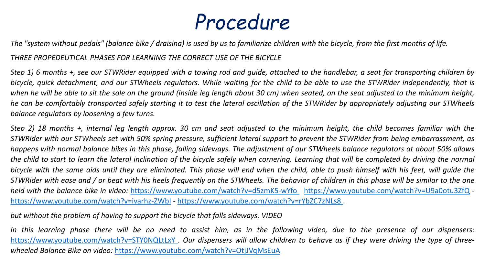## *Procedure*

The "system without pedals" (balance bike / draisina) is used by us to familiarize children with the bicycle, from the first months of life.

*THREE PROPEDEUTICAL PHASES FOR LEARNING THE CORRECT USE OF THE BICYCLE*

Step 1) 6 months +, see our STWRider equipped with a towing rod and quide, attached to the handlebar, a seat for transporting children by bicycle, quick detachment, and our STWheels regulators. While waiting for the child to be able to use the STWRider independently, that is when he will be able to sit the sole on the ground (inside leg length about 30 cm) when seated, on the seat adjusted to the minimum height, he can be comfortably transported safely starting it to test the lateral oscillation of the STWRider by appropriately adjusting our STWheels *balance regulators by loosening a few turns.*

Step 2) 18 months +, internal leg length approx. 30 cm and seat adjusted to the minimum height, the child becomes familiar with the STWRider with our STWheels set with 50% spring pressure, sufficient lateral support to prevent the STWRider from being embarrassment, as happens with normal balance bikes in this phase, falling sideways. The adjustment of our STWheels balance regulators at about 50% allows the child to start to learn the lateral inclination of the bicycle safely when cornering. Learning that will be completed by driving the normal bicycle with the same aids until they are eliminated. This phase will end when the child, able to push himself with his feet, will quide the STWRider with ease and / or beat with his heels frequently on the STWheels. The behavior of children in this phase will be similar to the one *held with the balance bike in video:* <https://www.youtube.com/watch?v=d5zmK5-wYfo> <https://www.youtube.com/watch?v=U9a0otu3ZfQ>  <https://www.youtube.com/watch?v=ivarhz-ZWbI> - <https://www.youtube.com/watch?v=rYbZC7zNLs8>.

*but without the problem of having to support the bicycle that falls sideways. VIDEO*

In this learning phase there will be no need to assist him, as in the following video, due to the presence of our dispensers: <https://www.youtube.com/watch?v=STY0NQLtLxY>. Our dispensers will allow children to behave as if they were driving the type of three*wheeled Balance Bike on video:* <https://www.youtube.com/watch?v=OtjJVqMsEuA>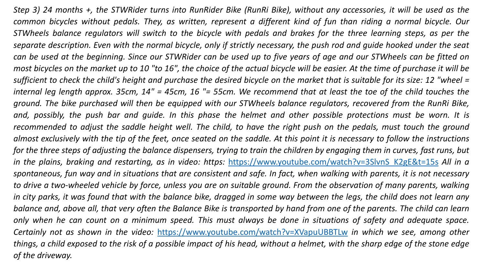Step 3) 24 months +, the STWRider turns into RunRider Bike (RunRi Bike), without any accessories, it will be used as the common bicycles without pedals. They, as written, represent a different kind of fun than riding a normal bicycle. Our STWheels balance regulators will switch to the bicycle with pedals and brakes for the three learning steps, as per the separate description. Even with the normal bicycle, only if strictly necessary, the push rod and guide hooked under the seat can be used at the beginning. Since our STWRider can be used up to five years of age and our STWheels can be fitted on most bicycles on the market up to 10 "to 16", the choice of the actual bicycle will be easier. At the time of purchase it will be sufficient to check the child's height and purchase the desired bicycle on the market that is suitable for its size: 12 "wheel = internal leg length approx. 35cm, 14" = 45cm, 16 "= 55cm. We recommend that at least the toe of the child touches the ground. The bike purchased will then be equipped with our STWheels balance regulators, recovered from the RunRi Bike, and, possibly, the push bar and guide. In this phase the helmet and other possible protections must be worn. It is recommended to adjust the saddle height well. The child, to have the right push on the pedals, must touch the ground almost exclusively with the tip of the feet, once seated on the saddle. At this point it is necessary to follow the instructions for the three steps of adjusting the balance dispensers, trying to train the children by engaging them in curves, fast runs, but *in the plains, braking and restarting, as in video: https:* [https://www.youtube.com/watch?v=3SlvnS\\_K2gE&t=15s](https://www.youtube.com/watch?v=3SlvnS_K2gE&t=15s) *All in a* spontaneous, fun way and in situations that are consistent and safe. In fact, when walking with parents, it is not necessary to drive a two-wheeled vehicle by force, unless you are on suitable ground. From the observation of many parents, walking in city parks, it was found that with the balance bike, dragged in some way between the legs, the child does not learn any balance and, above all, that very often the Balance Bike is transported by hand from one of the parents. The child can learn only when he can count on a minimum speed. This must always be done in situations of safety and adequate space. *Certainly not as shown in the video:* <https://www.youtube.com/watch?v=XVapuUBBTLw> *in which we see, among other* things, a child exposed to the risk of a possible impact of his head, without a helmet, with the sharp edge of the stone edge *of the driveway.*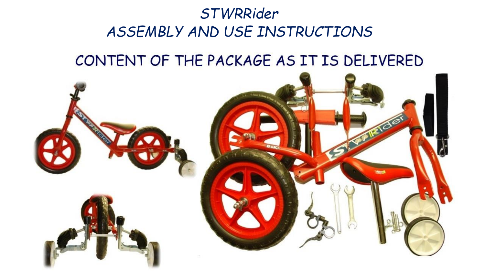## *STWRRider ASSEMBLY AND USE INSTRUCTIONS*

## CONTENT OF THE PACKAGE AS IT IS DELIVERED

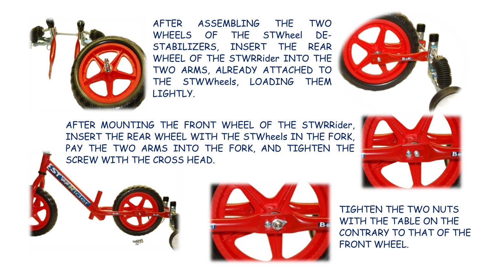

AFTER ASSEMBLING THE TWO WHEELS OF THE STWheel DE-STABILIZERS, INSERT THE REAR WHEEL OF THE STWRRider INTO THE TWO ARMS, ALREADY ATTACHED TO THE STWWheels, LOADING THEM LIGHTLY.

AFTER MOUNTING THE FRONT WHEEL OF THE STWRRider, INSERT THE REAR WHEEL WITH THE STWheels IN THE FORK, PAY THE TWO ARMS INTO THE FORK, AND TIGHTEN THE SCREW WITH THE CROSS HEAD.





TIGHTEN THE TWO NUTS WITH THE TABLE ON THE CONTRARY TO THAT OF THE FRONT WHEEL.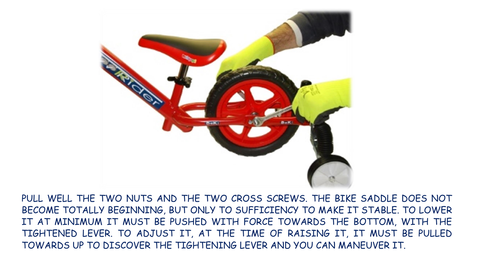

PULL WELL THE TWO NUTS AND THE TWO CROSS SCREWS. THE BIKE SADDLE DOES NOT BECOME TOTALLY BEGINNING, BUT ONLY TO SUFFICIENCY TO MAKE IT STABLE. TO LOWER IT AT MINIMUM IT MUST BE PUSHED WITH FORCE TOWARDS THE BOTTOM, WITH THE TIGHTENED LEVER. TO ADJUST IT, AT THE TIME OF RAISING IT, IT MUST BE PULLED TOWARDS UP TO DISCOVER THE TIGHTENING LEVER AND YOU CAN MANEUVER IT.